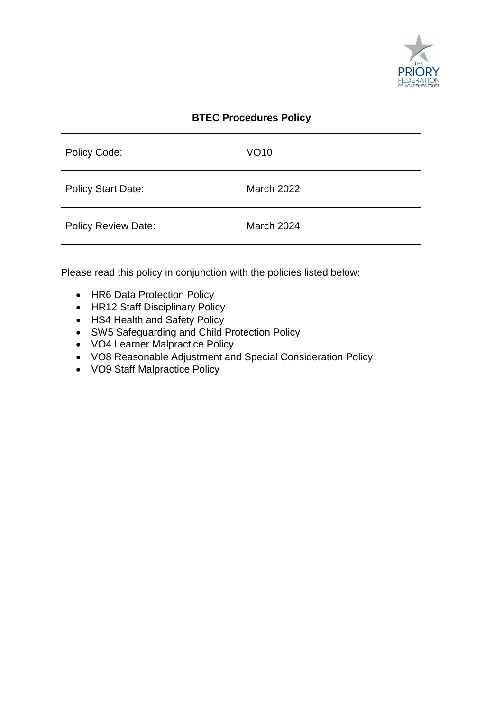

#### **BTEC Procedures Policy**

| <b>Policy Code:</b>        | <b>VO10</b>       |
|----------------------------|-------------------|
| <b>Policy Start Date:</b>  | <b>March 2022</b> |
| <b>Policy Review Date:</b> | March 2024        |

Please read this policy in conjunction with the policies listed below:

- HR6 Data Protection Policy
- HR12 Staff Disciplinary Policy
- HS4 Health and Safety Policy
- SW5 Safeguarding and Child Protection Policy
- VO4 Learner Malpractice Policy
- VO8 Reasonable Adjustment and Special Consideration Policy
- VO9 Staff Malpractice Policy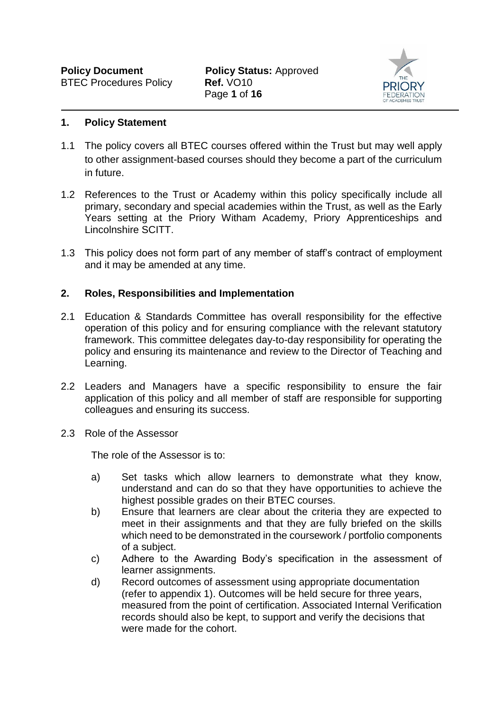

#### **1. Policy Statement**

- 1.1 The policy covers all BTEC courses offered within the Trust but may well apply to other assignment-based courses should they become a part of the curriculum in future.
- 1.2 References to the Trust or Academy within this policy specifically include all primary, secondary and special academies within the Trust, as well as the Early Years setting at the Priory Witham Academy, Priory Apprenticeships and Lincolnshire SCITT.
- 1.3 This policy does not form part of any member of staff's contract of employment and it may be amended at any time.

#### **2. Roles, Responsibilities and Implementation**

- 2.1 Education & Standards Committee has overall responsibility for the effective operation of this policy and for ensuring compliance with the relevant statutory framework. This committee delegates day-to-day responsibility for operating the policy and ensuring its maintenance and review to the Director of Teaching and Learning.
- 2.2 Leaders and Managers have a specific responsibility to ensure the fair application of this policy and all member of staff are responsible for supporting colleagues and ensuring its success.
- 2.3 Role of the Assessor

The role of the Assessor is to:

- a) Set tasks which allow learners to demonstrate what they know, understand and can do so that they have opportunities to achieve the highest possible grades on their BTEC courses.
- b) Ensure that learners are clear about the criteria they are expected to meet in their assignments and that they are fully briefed on the skills which need to be demonstrated in the coursework / portfolio components of a subject.
- c) Adhere to the Awarding Body's specification in the assessment of learner assignments.
- d) Record outcomes of assessment using appropriate documentation (refer to appendix 1). Outcomes will be held secure for three years, measured from the point of certification. Associated Internal Verification records should also be kept, to support and verify the decisions that were made for the cohort.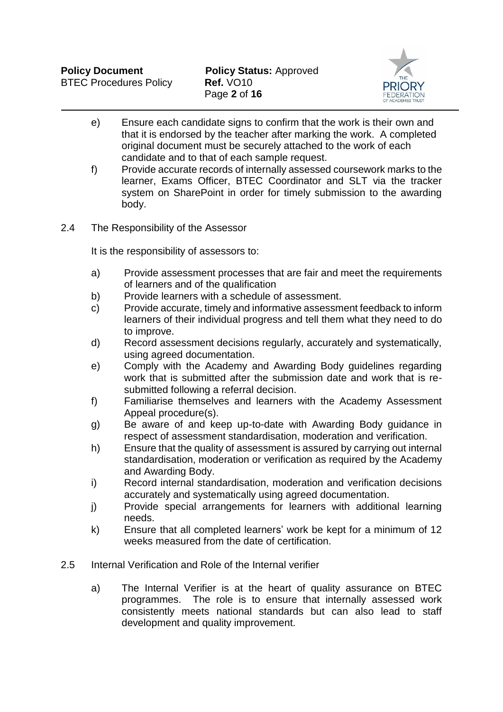

- e) Ensure each candidate signs to confirm that the work is their own and that it is endorsed by the teacher after marking the work. A completed original document must be securely attached to the work of each candidate and to that of each sample request.
- f) Provide accurate records of internally assessed coursework marks to the learner, Exams Officer, BTEC Coordinator and SLT via the tracker system on SharePoint in order for timely submission to the awarding body.
- 2.4 The Responsibility of the Assessor

It is the responsibility of assessors to:

- a) Provide assessment processes that are fair and meet the requirements of learners and of the qualification
- b) Provide learners with a schedule of assessment.
- c) Provide accurate, timely and informative assessment feedback to inform learners of their individual progress and tell them what they need to do to improve.
- d) Record assessment decisions regularly, accurately and systematically, using agreed documentation.
- e) Comply with the Academy and Awarding Body guidelines regarding work that is submitted after the submission date and work that is resubmitted following a referral decision.
- f) Familiarise themselves and learners with the Academy Assessment Appeal procedure(s).
- g) Be aware of and keep up-to-date with Awarding Body guidance in respect of assessment standardisation, moderation and verification.
- h) Ensure that the quality of assessment is assured by carrying out internal standardisation, moderation or verification as required by the Academy and Awarding Body.
- i) Record internal standardisation, moderation and verification decisions accurately and systematically using agreed documentation.
- j) Provide special arrangements for learners with additional learning needs.
- k) Ensure that all completed learners' work be kept for a minimum of 12 weeks measured from the date of certification.
- 2.5 Internal Verification and Role of the Internal verifier
	- a) The Internal Verifier is at the heart of quality assurance on BTEC programmes. The role is to ensure that internally assessed work consistently meets national standards but can also lead to staff development and quality improvement.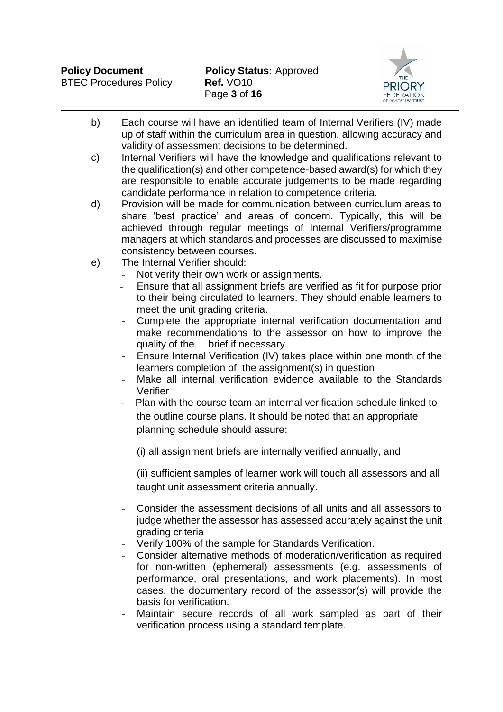

- b) Each course will have an identified team of Internal Verifiers (IV) made up of staff within the curriculum area in question, allowing accuracy and validity of assessment decisions to be determined.
- c) Internal Verifiers will have the knowledge and qualifications relevant to the qualification(s) and other competence-based award(s) for which they are responsible to enable accurate judgements to be made regarding candidate performance in relation to competence criteria.
- d) Provision will be made for communication between curriculum areas to share 'best practice' and areas of concern. Typically, this will be achieved through regular meetings of Internal Verifiers/programme managers at which standards and processes are discussed to maximise consistency between courses.
- e) The Internal Verifier should:
	- Not verify their own work or assignments.
	- Ensure that all assignment briefs are verified as fit for purpose prior to their being circulated to learners. They should enable learners to meet the unit grading criteria.
	- Complete the appropriate internal verification documentation and make recommendations to the assessor on how to improve the quality of the brief if necessary.
	- Ensure Internal Verification (IV) takes place within one month of the learners completion of the assignment(s) in question
	- Make all internal verification evidence available to the Standards Verifier
	- Plan with the course team an internal verification schedule linked to the outline course plans. It should be noted that an appropriate planning schedule should assure:
		- (i) all assignment briefs are internally verified annually, and

(ii) sufficient samples of learner work will touch all assessors and all taught unit assessment criteria annually.

- Consider the assessment decisions of all units and all assessors to judge whether the assessor has assessed accurately against the unit grading criteria
- Verify 100% of the sample for Standards Verification.
- Consider alternative methods of moderation/verification as required for non-written (ephemeral) assessments (e.g. assessments of performance, oral presentations, and work placements). In most cases, the documentary record of the assessor(s) will provide the basis for verification.
- Maintain secure records of all work sampled as part of their verification process using a standard template.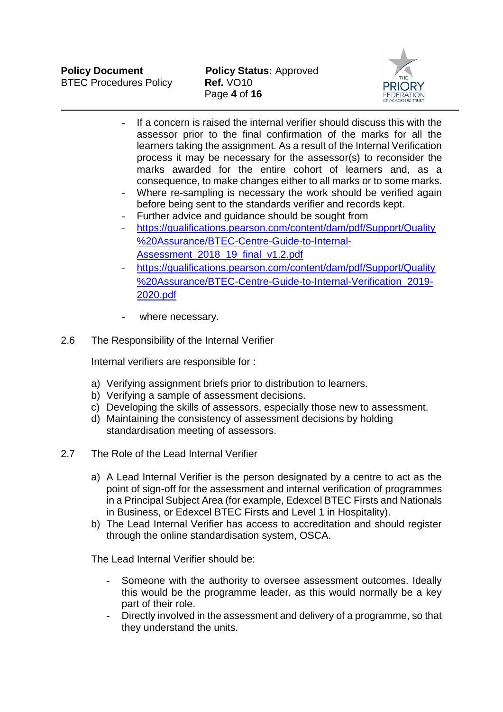

- If a concern is raised the internal verifier should discuss this with the assessor prior to the final confirmation of the marks for all the learners taking the assignment. As a result of the Internal Verification process it may be necessary for the assessor(s) to reconsider the marks awarded for the entire cohort of learners and, as a consequence, to make changes either to all marks or to some marks.
- Where re-sampling is necessary the work should be verified again before being sent to the standards verifier and records kept.
- Further advice and quidance should be sought from
- [https://qualifications.pearson.com/content/dam/pdf/Support/Quality](https://qualifications.pearson.com/content/dam/pdf/Support/Quality%20Assurance/BTEC-Centre-Guide-to-Internal-Assessment_2018_19_final_v1.2.pdf) [%20Assurance/BTEC-Centre-Guide-to-Internal-](https://qualifications.pearson.com/content/dam/pdf/Support/Quality%20Assurance/BTEC-Centre-Guide-to-Internal-Assessment_2018_19_final_v1.2.pdf)Assessment 2018 19 final v1.2.pdf
- [https://qualifications.pearson.com/content/dam/pdf/Support/Quality](https://qualifications.pearson.com/content/dam/pdf/Support/Quality%20Assurance/BTEC-Centre-Guide-to-Internal-Verification_2019-2020.pdf) [%20Assurance/BTEC-Centre-Guide-to-Internal-Verification\\_2019-](https://qualifications.pearson.com/content/dam/pdf/Support/Quality%20Assurance/BTEC-Centre-Guide-to-Internal-Verification_2019-2020.pdf) [2020.pdf](https://qualifications.pearson.com/content/dam/pdf/Support/Quality%20Assurance/BTEC-Centre-Guide-to-Internal-Verification_2019-2020.pdf)
- where necessary.
- 2.6 The Responsibility of the Internal Verifier

Internal verifiers are responsible for :

- a) Verifying assignment briefs prior to distribution to learners.
- b) Verifying a sample of assessment decisions.
- c) Developing the skills of assessors, especially those new to assessment.
- d) Maintaining the consistency of assessment decisions by holding standardisation meeting of assessors.
- 2.7 The Role of the Lead Internal Verifier
	- a) A Lead Internal Verifier is the person designated by a centre to act as the point of sign-off for the assessment and internal verification of programmes in a Principal Subject Area (for example, Edexcel BTEC Firsts and Nationals in Business, or Edexcel BTEC Firsts and Level 1 in Hospitality).
	- b) The Lead Internal Verifier has access to accreditation and should register through the online standardisation system, OSCA.

The Lead Internal Verifier should be:

- Someone with the authority to oversee assessment outcomes. Ideally this would be the programme leader, as this would normally be a key part of their role.
- Directly involved in the assessment and delivery of a programme, so that they understand the units.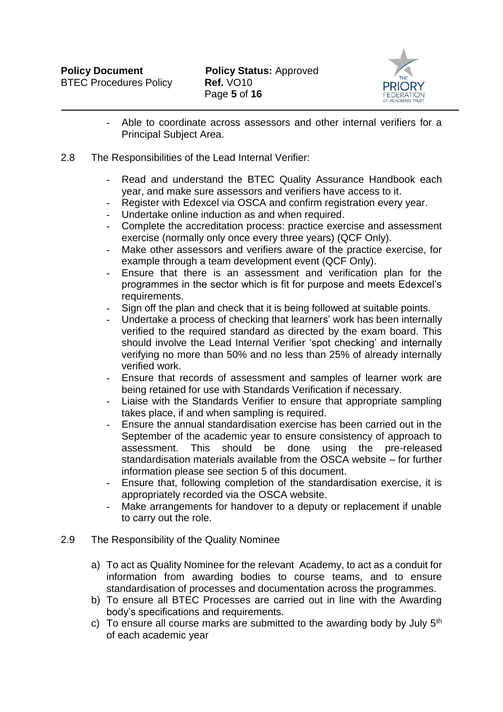

- Able to coordinate across assessors and other internal verifiers for a Principal Subject Area.
- 2.8 The Responsibilities of the Lead Internal Verifier:
	- Read and understand the BTEC Quality [Assurance](http://www.edexcel.com/quals/BTEC/quality/Pages/documents.aspx) Handbook each year, and make sure assessors and verifiers have access to it.
	- Register with Edexcel via OSCA and confirm registration every year.
	- Undertake online induction as and when required.
	- Complete the accreditation process: practice exercise and assessment exercise (normally only once every three years) (QCF Only).
	- Make other assessors and verifiers aware of the practice exercise, for example through a team development event (QCF Only).
	- Ensure that there is an assessment and verification plan for the programmes in the sector which is fit for purpose and meets Edexcel's requirements.
	- Sign off the plan and check that it is being followed at suitable points.
	- Undertake a process of checking that learners' work has been internally verified to the required standard as directed by the exam board. This should involve the Lead Internal Verifier 'spot checking' and internally verifying no more than 50% and no less than 25% of already internally verified work.
	- Ensure that records of assessment and samples of learner work are being retained for use with Standards Verification if necessary.
	- Liaise with the Standards Verifier to ensure that appropriate sampling takes place, if and when sampling is required.
	- Ensure the annual standardisation exercise has been carried out in the September of the academic year to ensure consistency of approach to assessment. This should be done using the pre-released standardisation materials available from the OSCA website – for further information please see section 5 of this document.
	- Ensure that, following completion of the standardisation exercise, it is appropriately recorded via the OSCA website.
	- Make arrangements for handover to a deputy or replacement if unable to carry out the role.
- 2.9 The Responsibility of the Quality Nominee
	- a) To act as Quality Nominee for the relevant Academy, to act as a conduit for information from awarding bodies to course teams, and to ensure standardisation of processes and documentation across the programmes.
	- b) To ensure all BTEC Processes are carried out in line with the Awarding body's specifications and requirements.
	- c) To ensure all course marks are submitted to the awarding body by July  $5<sup>th</sup>$ of each academic year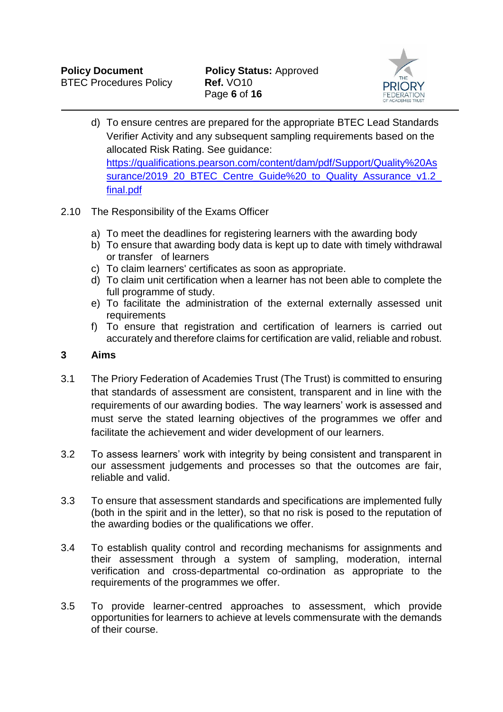

- d) To ensure centres are prepared for the appropriate BTEC Lead Standards Verifier Activity and any subsequent sampling requirements based on the allocated Risk Rating. See guidance: [https://qualifications.pearson.com/content/dam/pdf/Support/Quality%20As](https://qualifications.pearson.com/content/dam/pdf/Support/Quality%20Assurance/2019_20_BTEC_Centre_Guide%20_to_Quality_Assurance_v1.2_final.pdf) [surance/2019\\_20\\_BTEC\\_Centre\\_Guide%20\\_to\\_Quality\\_Assurance\\_v1.2\\_](https://qualifications.pearson.com/content/dam/pdf/Support/Quality%20Assurance/2019_20_BTEC_Centre_Guide%20_to_Quality_Assurance_v1.2_final.pdf) [final.pdf](https://qualifications.pearson.com/content/dam/pdf/Support/Quality%20Assurance/2019_20_BTEC_Centre_Guide%20_to_Quality_Assurance_v1.2_final.pdf)
- 2.10 The Responsibility of the Exams Officer
	- a) To meet the deadlines for registering learners with the awarding body
	- b) To ensure that awarding body data is kept up to date with timely withdrawal or transfer of learners
	- c) To claim learners' certificates as soon as appropriate.
	- d) To claim unit certification when a learner has not been able to complete the full programme of study.
	- e) To facilitate the administration of the external externally assessed unit requirements
	- f) To ensure that registration and certification of learners is carried out accurately and therefore claims for certification are valid, reliable and robust.

#### **3 Aims**

- 3.1 The Priory Federation of Academies Trust (The Trust) is committed to ensuring that standards of assessment are consistent, transparent and in line with the requirements of our awarding bodies. The way learners' work is assessed and must serve the stated learning objectives of the programmes we offer and facilitate the achievement and wider development of our learners.
- 3.2 To assess learners' work with integrity by being consistent and transparent in our assessment judgements and processes so that the outcomes are fair, reliable and valid.
- 3.3 To ensure that assessment standards and specifications are implemented fully (both in the spirit and in the letter), so that no risk is posed to the reputation of the awarding bodies or the qualifications we offer.
- 3.4 To establish quality control and recording mechanisms for assignments and their assessment through a system of sampling, moderation, internal verification and cross-departmental co-ordination as appropriate to the requirements of the programmes we offer.
- 3.5 To provide learner-centred approaches to assessment, which provide opportunities for learners to achieve at levels commensurate with the demands of their course.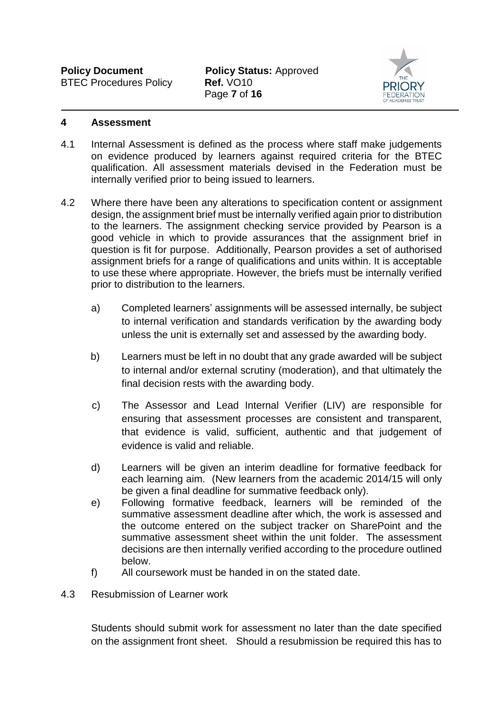**Policy Document Policy Status: Approved** Page **7** of **16**



#### **4 Assessment**

- 4.1 Internal Assessment is defined as the process where staff make judgements on evidence produced by learners against required criteria for the BTEC qualification. All assessment materials devised in the Federation must be internally verified prior to being issued to learners.
- 4.2 Where there have been any alterations to specification content or assignment design, the assignment brief must be internally verified again prior to distribution to the learners. The assignment checking service provided by Pearson is a good vehicle in which to provide assurances that the assignment brief in question is fit for purpose. Additionally, Pearson provides a set of authorised assignment briefs for a range of qualifications and units within. It is acceptable to use these where appropriate. However, the briefs must be internally verified prior to distribution to the learners.
	- a) Completed learners' assignments will be assessed internally, be subject to internal verification and standards verification by the awarding body unless the unit is externally set and assessed by the awarding body.
	- b) Learners must be left in no doubt that any grade awarded will be subject to internal and/or external scrutiny (moderation), and that ultimately the final decision rests with the awarding body.
	- c) The Assessor and Lead Internal Verifier (LIV) are responsible for ensuring that assessment processes are consistent and transparent, that evidence is valid, sufficient, authentic and that judgement of evidence is valid and reliable.
	- d) Learners will be given an interim deadline for formative feedback for each learning aim. (New learners from the academic 2014/15 will only be given a final deadline for summative feedback only).
	- e) Following formative feedback, learners will be reminded of the summative assessment deadline after which, the work is assessed and the outcome entered on the subject tracker on SharePoint and the summative assessment sheet within the unit folder. The assessment decisions are then internally verified according to the procedure outlined below.
	- f) All coursework must be handed in on the stated date.
- 4.3 Resubmission of Learner work

Students should submit work for assessment no later than the date specified on the assignment front sheet. Should a resubmission be required this has to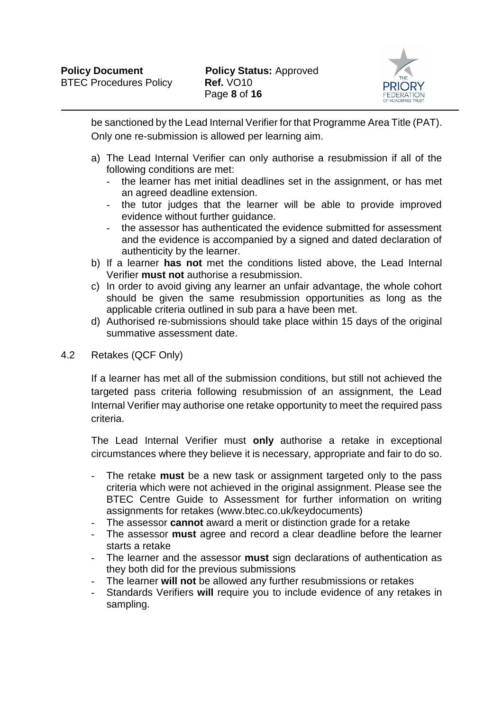

be sanctioned by the Lead Internal Verifier for that Programme Area Title (PAT). Only one re-submission is allowed per learning aim.

- a) The Lead Internal Verifier can only authorise a resubmission if all of the following conditions are met:
	- the learner has met initial deadlines set in the assignment, or has met an agreed deadline extension.
	- the tutor judges that the learner will be able to provide improved evidence without further guidance.
	- the assessor has authenticated the evidence submitted for assessment and the evidence is accompanied by a signed and dated declaration of authenticity by the learner.
- b) If a learner **has not** met the conditions listed above, the Lead Internal Verifier **must not** authorise a resubmission.
- c) In order to avoid giving any learner an unfair advantage, the whole cohort should be given the same resubmission opportunities as long as the applicable criteria outlined in sub para a have been met.
- d) Authorised re-submissions should take place within 15 days of the original summative assessment date.
- 4.2 Retakes (QCF Only)

If a learner has met all of the submission conditions, but still not achieved the targeted pass criteria following resubmission of an assignment, the Lead Internal Verifier may authorise one retake opportunity to meet the required pass criteria.

The Lead Internal Verifier must **only** authorise a retake in exceptional circumstances where they believe it is necessary, appropriate and fair to do so.

- The retake **must** be a new task or assignment targeted only to the pass criteria which were not achieved in the original assignment. Please see the BTEC Centre Guide to Assessment for further information on writing assignments for retakes (www.btec.co.uk/keydocuments)
- The assessor **cannot** award a merit or distinction grade for a retake
- The assessor **must** agree and record a clear deadline before the learner starts a retake
- The learner and the assessor **must** sign declarations of authentication as they both did for the previous submissions
- The learner **will not** be allowed any further resubmissions or retakes
- Standards Verifiers **will** require you to include evidence of any retakes in sampling.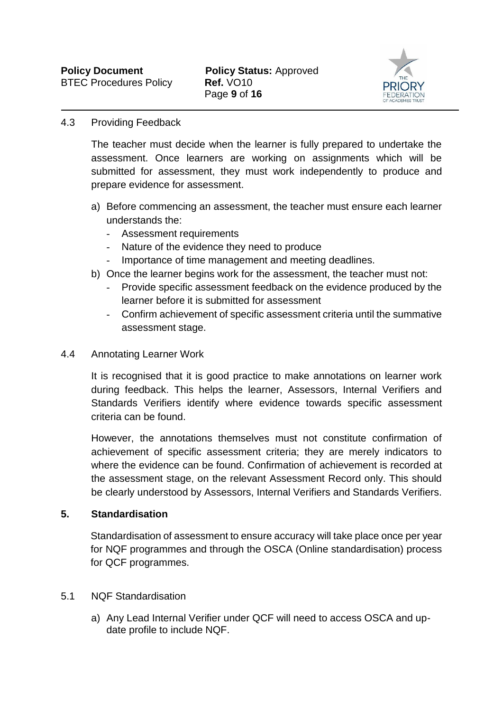

#### 4.3 Providing Feedback

The teacher must decide when the learner is fully prepared to undertake the assessment. Once learners are working on assignments which will be submitted for assessment, they must work independently to produce and prepare evidence for assessment.

- a) Before commencing an assessment, the teacher must ensure each learner understands the:
	- Assessment requirements
	- Nature of the evidence they need to produce
	- Importance of time management and meeting deadlines.
- b) Once the learner begins work for the assessment, the teacher must not:
	- Provide specific assessment feedback on the evidence produced by the learner before it is submitted for assessment
	- Confirm achievement of specific assessment criteria until the summative assessment stage.

#### 4.4 Annotating Learner Work

It is recognised that it is good practice to make annotations on learner work during feedback. This helps the learner, Assessors, Internal Verifiers and Standards Verifiers identify where evidence towards specific assessment criteria can be found.

However, the annotations themselves must not constitute confirmation of achievement of specific assessment criteria; they are merely indicators to where the evidence can be found. Confirmation of achievement is recorded at the assessment stage, on the relevant Assessment Record only. This should be clearly understood by Assessors, Internal Verifiers and Standards Verifiers.

#### **5. Standardisation**

Standardisation of assessment to ensure accuracy will take place once per year for NQF programmes and through the OSCA (Online standardisation) process for QCF programmes.

#### 5.1 NQF Standardisation

a) Any Lead Internal Verifier under QCF will need to access OSCA and update profile to include NQF.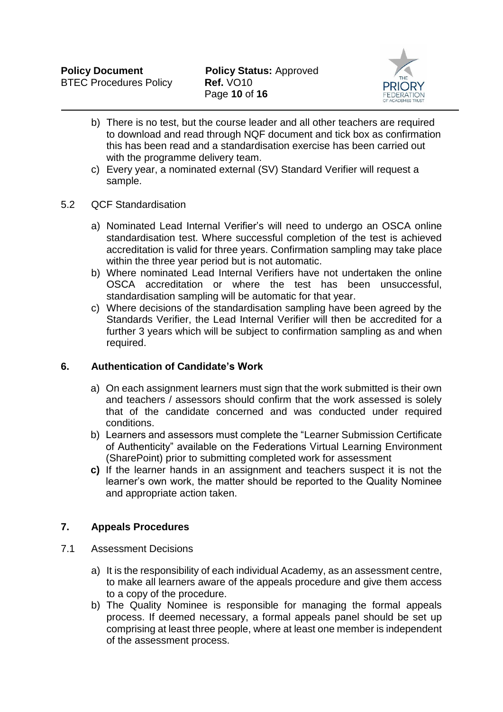

- b) There is no test, but the course leader and all other teachers are required to download and read through NQF document and tick box as confirmation this has been read and a standardisation exercise has been carried out with the programme delivery team.
- c) Every year, a nominated external (SV) Standard Verifier will request a sample.

#### 5.2 QCF Standardisation

- a) Nominated Lead Internal Verifier's will need to undergo an OSCA online standardisation test. Where successful completion of the test is achieved accreditation is valid for three years. Confirmation sampling may take place within the three year period but is not automatic.
- b) Where nominated Lead Internal Verifiers have not undertaken the online OSCA accreditation or where the test has been unsuccessful, standardisation sampling will be automatic for that year.
- c) Where decisions of the standardisation sampling have been agreed by the Standards Verifier, the Lead Internal Verifier will then be accredited for a further 3 years which will be subject to confirmation sampling as and when required.

#### **6. Authentication of Candidate's Work**

- a) On each assignment learners must sign that the work submitted is their own and teachers / assessors should confirm that the work assessed is solely that of the candidate concerned and was conducted under required conditions.
- b) Learners and assessors must complete the "Learner Submission Certificate of Authenticity" available on the Federations Virtual Learning Environment (SharePoint) prior to submitting completed work for assessment
- **c)** If the learner hands in an assignment and teachers suspect it is not the learner's own work, the matter should be reported to the Quality Nominee and appropriate action taken.

### **7. Appeals Procedures**

- 7.1 Assessment Decisions
	- a) It is the responsibility of each individual Academy, as an assessment centre, to make all learners aware of the appeals procedure and give them access to a copy of the procedure.
	- b) The Quality Nominee is responsible for managing the formal appeals process. If deemed necessary, a formal appeals panel should be set up comprising at least three people, where at least one member is independent of the assessment process.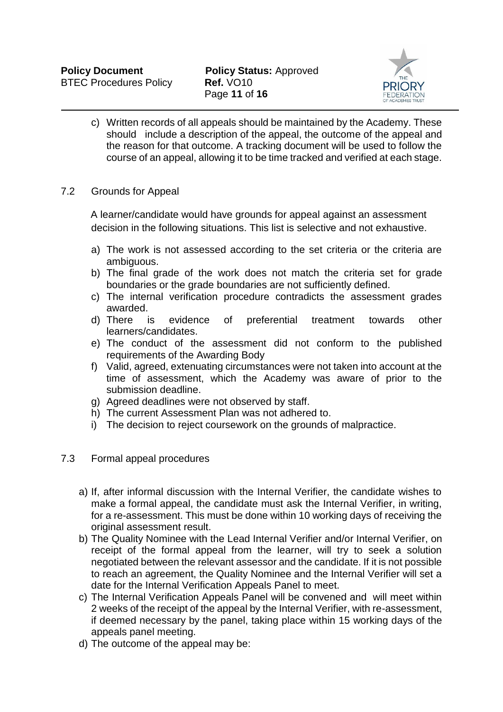

- c) Written records of all appeals should be maintained by the Academy. These should include a description of the appeal, the outcome of the appeal and the reason for that outcome. A tracking document will be used to follow the course of an appeal, allowing it to be time tracked and verified at each stage.
- 7.2 Grounds for Appeal

A learner/candidate would have grounds for appeal against an assessment decision in the following situations. This list is selective and not exhaustive.

- a) The work is not assessed according to the set criteria or the criteria are ambiguous.
- b) The final grade of the work does not match the criteria set for grade boundaries or the grade boundaries are not sufficiently defined.
- c) The internal verification procedure contradicts the assessment grades awarded.
- d) There is evidence of preferential treatment towards other learners/candidates.
- e) The conduct of the assessment did not conform to the published requirements of the Awarding Body
- f) Valid, agreed, extenuating circumstances were not taken into account at the time of assessment, which the Academy was aware of prior to the submission deadline.
- g) Agreed deadlines were not observed by staff.
- h) The current Assessment Plan was not adhered to.
- i) The decision to reject coursework on the grounds of malpractice.
- 7.3 Formal appeal procedures
	- a) If, after informal discussion with the Internal Verifier, the candidate wishes to make a formal appeal, the candidate must ask the Internal Verifier, in writing, for a re-assessment. This must be done within 10 working days of receiving the original assessment result.
	- b) The Quality Nominee with the Lead Internal Verifier and/or Internal Verifier, on receipt of the formal appeal from the learner, will try to seek a solution negotiated between the relevant assessor and the candidate. If it is not possible to reach an agreement, the Quality Nominee and the Internal Verifier will set a date for the Internal Verification Appeals Panel to meet.
	- c) The Internal Verification Appeals Panel will be convened and will meet within 2 weeks of the receipt of the appeal by the Internal Verifier, with re-assessment, if deemed necessary by the panel, taking place within 15 working days of the appeals panel meeting.
	- d) The outcome of the appeal may be: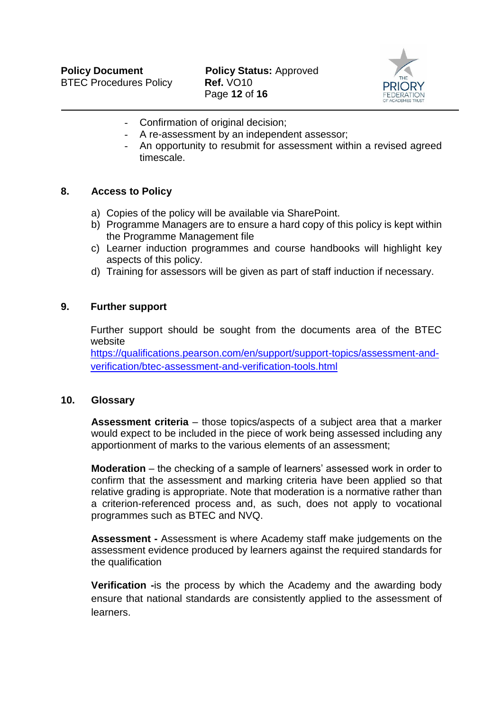**Policy Document Policy Status: Approved** Page **12** of **16**



- Confirmation of original decision;
- A re-assessment by an independent assessor;
- An opportunity to resubmit for assessment within a revised agreed timescale.

#### **8. Access to Policy**

- a) Copies of the policy will be available via SharePoint.
- b) Programme Managers are to ensure a hard copy of this policy is kept within the Programme Management file
- c) Learner induction programmes and course handbooks will highlight key aspects of this policy.
- d) Training for assessors will be given as part of staff induction if necessary.

#### **9. Further support**

Further support should be sought from the documents area of the BTEC website

[https://qualifications.pearson.com/en/support/support-topics/assessment-and](https://qualifications.pearson.com/en/support/support-topics/assessment-and-verification/btec-assessment-and-verification-tools.html)[verification/btec-assessment-and-verification-tools.html](https://qualifications.pearson.com/en/support/support-topics/assessment-and-verification/btec-assessment-and-verification-tools.html)

#### **10. Glossary**

**Assessment criteria** – those topics/aspects of a subject area that a marker would expect to be included in the piece of work being assessed including any apportionment of marks to the various elements of an assessment;

**Moderation** – the checking of a sample of learners' assessed work in order to confirm that the assessment and marking criteria have been applied so that relative grading is appropriate. Note that moderation is a normative rather than a criterion-referenced process and, as such, does not apply to vocational programmes such as BTEC and NVQ.

**Assessment -** Assessment is where Academy staff make judgements on the assessment evidence produced by learners against the required standards for the qualification

**Verification -**is the process by which the Academy and the awarding body ensure that national standards are consistently applied to the assessment of learners.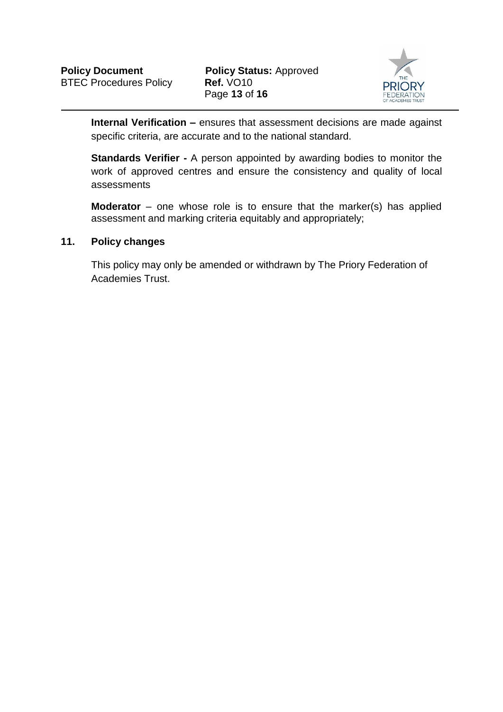

**Internal Verification –** ensures that assessment decisions are made against specific criteria, are accurate and to the national standard.

**Standards Verifier -** A person appointed by awarding bodies to monitor the work of approved centres and ensure the consistency and quality of local assessments

**Moderator** – one whose role is to ensure that the marker(s) has applied assessment and marking criteria equitably and appropriately;

#### **11. Policy changes**

This policy may only be amended or withdrawn by The Priory Federation of Academies Trust.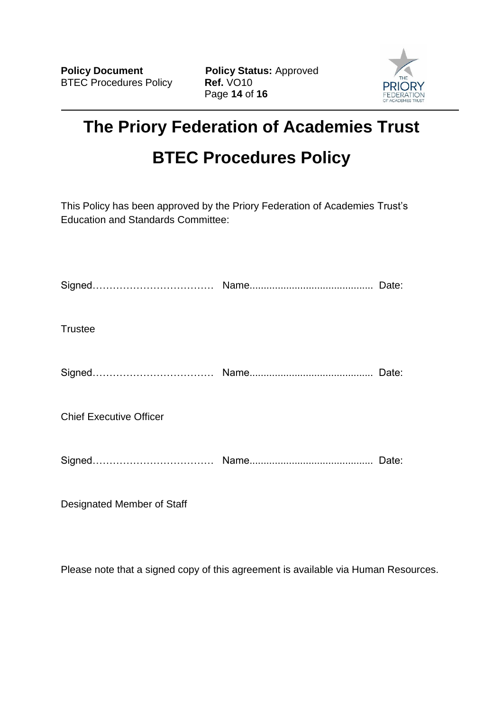**Policy Document Policy Status:** Approved Page **14** of **16**



# **The Priory Federation of Academies Trust BTEC Procedures Policy**

This Policy has been approved by the Priory Federation of Academies Trust's Education and Standards Committee:

Designated Member of Staff

Please note that a signed copy of this agreement is available via Human Resources.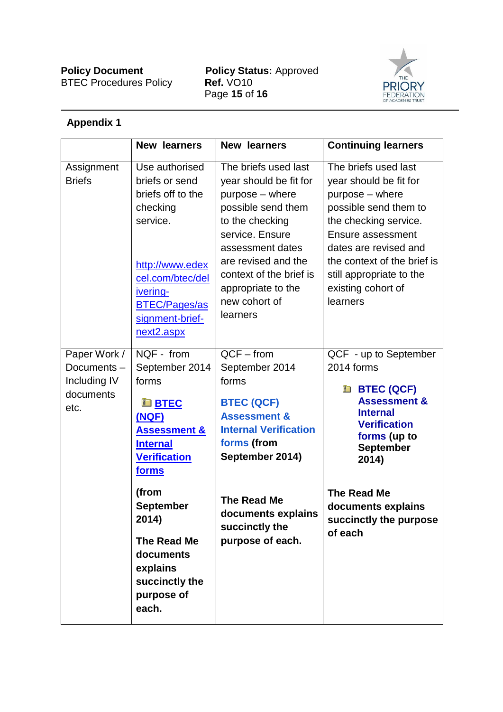**Policy Document Policy Status:** Approved Page **15** of **16**



## **Appendix 1**

|                                                                 | <b>New learners</b>                                                                                                                                                                                                                                                                | <b>New learners</b>                                                                                                                                                                                                                                    | <b>Continuing learners</b>                                                                                                                                                                                                                                     |
|-----------------------------------------------------------------|------------------------------------------------------------------------------------------------------------------------------------------------------------------------------------------------------------------------------------------------------------------------------------|--------------------------------------------------------------------------------------------------------------------------------------------------------------------------------------------------------------------------------------------------------|----------------------------------------------------------------------------------------------------------------------------------------------------------------------------------------------------------------------------------------------------------------|
| Assignment<br><b>Briefs</b>                                     | Use authorised<br>briefs or send<br>briefs off to the<br>checking<br>service.<br>http://www.edex<br>cel.com/btec/del<br>ivering-<br><b>BTEC/Pages/as</b><br>signment-brief-<br>next2.aspx                                                                                          | The briefs used last<br>year should be fit for<br>purpose – where<br>possible send them<br>to the checking<br>service. Ensure<br>assessment dates<br>are revised and the<br>context of the brief is<br>appropriate to the<br>new cohort of<br>learners | The briefs used last<br>year should be fit for<br>purpose – where<br>possible send them to<br>the checking service.<br>Ensure assessment<br>dates are revised and<br>the context of the brief is<br>still appropriate to the<br>existing cohort of<br>learners |
| Paper Work /<br>Documents-<br>Including IV<br>documents<br>etc. | NQF - from<br>September 2014<br>forms<br><b>E</b> BTEC<br><u>(NQF)</u><br><b>Assessment &amp;</b><br><b>Internal</b><br><b>Verification</b><br><u>forms</u><br>(from<br><b>September</b><br>2014)<br>The Read Me<br>documents<br>explains<br>succinctly the<br>purpose of<br>each. | $QCF - from$<br>September 2014<br>forms<br><b>BTEC (QCF)</b><br><b>Assessment &amp;</b><br><b>Internal Verification</b><br>forms (from<br>September 2014)<br><b>The Read Me</b><br>documents explains<br>succinctly the<br>purpose of each.            | QCF - up to September<br>2014 forms<br><b>ED BTEC (QCF)</b><br><b>Assessment &amp;</b><br><b>Internal</b><br><b>Verification</b><br>forms (up to<br><b>September</b><br>2014)<br><b>The Read Me</b><br>documents explains<br>succinctly the purpose<br>of each |